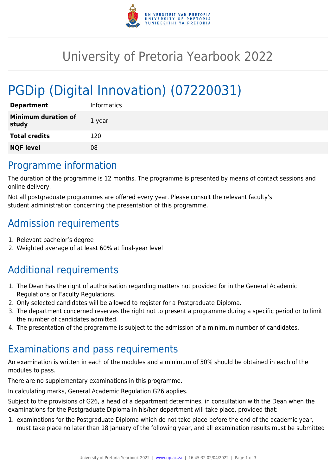

## University of Pretoria Yearbook 2022

# PGDip (Digital Innovation) (07220031)

| <b>Department</b>                   | <b>Informatics</b> |
|-------------------------------------|--------------------|
| <b>Minimum duration of</b><br>study | 1 year             |
| <b>Total credits</b>                | 120                |
| <b>NQF level</b>                    | 08                 |

### Programme information

The duration of the programme is 12 months. The programme is presented by means of contact sessions and online delivery.

Not all postgraduate programmes are offered every year. Please consult the relevant faculty's student administration concerning the presentation of this programme.

### Admission requirements

- 1. Relevant bachelor's degree
- 2. Weighted average of at least 60% at final-year level

### Additional requirements

- 1. The Dean has the right of authorisation regarding matters not provided for in the General Academic Regulations or Faculty Regulations.
- 2. Only selected candidates will be allowed to register for a Postgraduate Diploma.
- 3. The department concerned reserves the right not to present a programme during a specific period or to limit the number of candidates admitted.
- 4. The presentation of the programme is subject to the admission of a minimum number of candidates.

#### Examinations and pass requirements

An examination is written in each of the modules and a minimum of 50% should be obtained in each of the modules to pass.

There are no supplementary examinations in this programme.

In calculating marks, General Academic Regulation G26 applies.

Subject to the provisions of G26, a head of a department determines, in consultation with the Dean when the examinations for the Postgraduate Diploma in his/her department will take place, provided that:

1. examinations for the Postgraduate Diploma which do not take place before the end of the academic year, must take place no later than 18 January of the following year, and all examination results must be submitted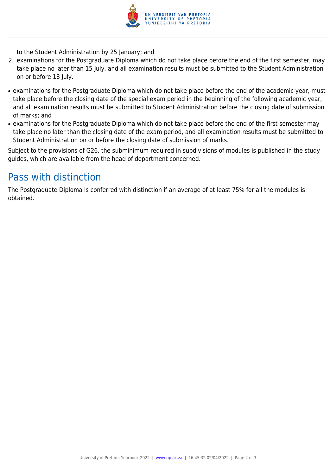

to the Student Administration by 25 January; and

- 2. examinations for the Postgraduate Diploma which do not take place before the end of the first semester, may take place no later than 15 July, and all examination results must be submitted to the Student Administration on or before 18 July.
- examinations for the Postgraduate Diploma which do not take place before the end of the academic year, must take place before the closing date of the special exam period in the beginning of the following academic year, and all examination results must be submitted to Student Administration before the closing date of submission of marks; and
- examinations for the Postgraduate Diploma which do not take place before the end of the first semester may take place no later than the closing date of the exam period, and all examination results must be submitted to Student Administration on or before the closing date of submission of marks.

Subject to the provisions of G26, the subminimum required in subdivisions of modules is published in the study guides, which are available from the head of department concerned.

#### Pass with distinction

The Postgraduate Diploma is conferred with distinction if an average of at least 75% for all the modules is obtained.